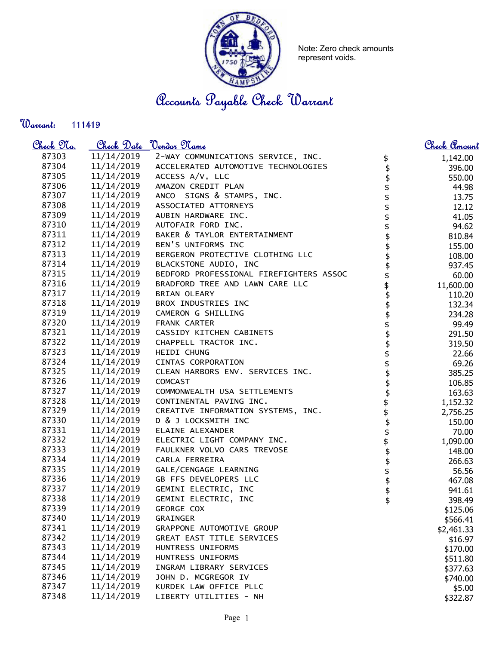

Note: Zero check amounts represent voids.

Accounts Payable Check Warrant

Warrant: 

| <u>Check No.</u> |                          | Check Date <u>Vendor Name</u>                          |                                | <u>Check Amount</u> |
|------------------|--------------------------|--------------------------------------------------------|--------------------------------|---------------------|
| 87303            | 11/14/2019               | 2-WAY COMMUNICATIONS SERVICE, INC.                     |                                | 1,142.00            |
| 87304            |                          | 11/14/2019 ACCELERATED AUTOMOTIVE TECHNOLOGIES         | $\updownarrow$                 | 396.00              |
| 87305            | 11/14/2019               | ACCESS A/V, LLC                                        |                                | 550.00              |
| 87306            | 11/14/2019               | AMAZON CREDIT PLAN                                     | \$\$\$\$\$\$\$\$\$             | 44.98               |
| 87307            | 11/14/2019               | ANCO SIGNS & STAMPS, INC.                              |                                | 13.75               |
| 87308            | 11/14/2019               | ASSOCIATED ATTORNEYS                                   |                                | 12.12               |
| 87309            | 11/14/2019               | AUBIN HARDWARE INC.                                    |                                | 41.05               |
| 87310            | 11/14/2019               | AUTOFAIR FORD INC.                                     |                                | 94.62               |
| 87311            | 11/14/2019               | BAKER & TAYLOR ENTERTAINMENT                           |                                | 810.84              |
| 87312            | 11/14/2019               | BEN'S UNIFORMS INC                                     |                                | 155.00              |
| 87313            | 11/14/2019               | BERGERON PROTECTIVE CLOTHING LLC                       |                                | 108.00              |
| 87314            | 11/14/2019               | BLACKSTONE AUDIO, INC                                  | \$\$\$                         | 937.45              |
| 87315            | 11/14/2019               | BEDFORD PROFESSIONAL FIREFIGHTERS ASSOC                |                                | 60.00               |
| 87316            | 11/14/2019               | BRADFORD TREE AND LAWN CARE LLC                        |                                | 11,600.00           |
| 87317            | 11/14/2019               | BRIAN OLEARY                                           |                                | 110.20              |
| 87318            | 11/14/2019               | BROX INDUSTRIES INC                                    |                                | 132.34              |
| 87319            | 11/14/2019               | CAMERON G SHILLING                                     |                                | 234.28              |
| 87320            |                          | 11/14/2019 FRANK CARTER                                | \$\$\$\$\$\$\$                 | 99.49               |
| 87321            |                          | 11/14/2019 CASSIDY KITCHEN CABINETS                    |                                | 291.50              |
| 87322            |                          | 11/14/2019 CHAPPELL TRACTOR INC.                       |                                | 319.50              |
| 87323            |                          | 11/14/2019 HEIDI CHUNG                                 |                                | 22.66               |
| 87324            |                          | 11/14/2019 CINTAS CORPORATION                          |                                | 69.26               |
| 87325            | 11/14/2019               | CLEAN HARBORS ENV. SERVICES INC.                       |                                | 385.25              |
| 87326            | 11/14/2019               | COMCAST                                                | <del>ያ ነሳ ነሳ ነሳ ነሳ ነሳ ነሳ</del> | 106.85              |
| 87327            | 11/14/2019               | COMMONWEALTH USA SETTLEMENTS                           |                                | 163.63              |
| 87328            | 11/14/2019               | CONTINENTAL PAVING INC.                                |                                | 1,152.32            |
| 87329            |                          | 11/14/2019 CREATIVE INFORMATION SYSTEMS, INC.          |                                | 2,756.25            |
| 87330            | 11/14/2019               | D & J LOCKSMITH INC                                    |                                | 150.00              |
| 87331            | 11/14/2019               | ELAINE ALEXANDER                                       |                                | 70.00               |
| 87332            | 11/14/2019               | ELECTRIC LIGHT COMPANY INC.                            |                                | 1,090.00            |
| 87333            | 11/14/2019               | FAULKNER VOLVO CARS TREVOSE                            |                                | 148.00              |
| 87334            | 11/14/2019               | CARLA FERREIRA                                         | \$                             | 266.63              |
| 87335            | 11/14/2019               | GALE/CENGAGE LEARNING                                  | \$<br>\$                       | 56.56               |
| 87336            | 11/14/2019               | GB FFS DEVELOPERS LLC                                  |                                | 467.08              |
| 87337            | 11/14/2019               | GEMINI ELECTRIC, INC                                   | \$<br>\$                       | 941.61              |
| 87338            | 11/14/2019<br>11/14/2019 | GEMINI ELECTRIC, INC                                   |                                | 398.49              |
| 87339<br>87340   | 11/14/2019               | GEORGE COX                                             |                                | \$125.06            |
| 87341            | 11/14/2019               | <b>GRAINGER</b>                                        |                                | \$566.41            |
| 87342            | 11/14/2019               | GRAPPONE AUTOMOTIVE GROUP<br>GREAT EAST TITLE SERVICES |                                | \$2,461.33          |
| 87343            | 11/14/2019               | HUNTRESS UNIFORMS                                      |                                | \$16.97             |
| 87344            | 11/14/2019               | HUNTRESS UNIFORMS                                      |                                | \$170.00            |
| 87345            | 11/14/2019               | INGRAM LIBRARY SERVICES                                |                                | \$511.80            |
| 87346            | 11/14/2019               | JOHN D. MCGREGOR IV                                    |                                | \$377.63            |
| 87347            | 11/14/2019               | KURDEK LAW OFFICE PLLC                                 |                                | \$740.00            |
| 87348            | 11/14/2019               | LIBERTY UTILITIES - NH                                 |                                | \$5.00              |
|                  |                          |                                                        |                                | \$322.87            |